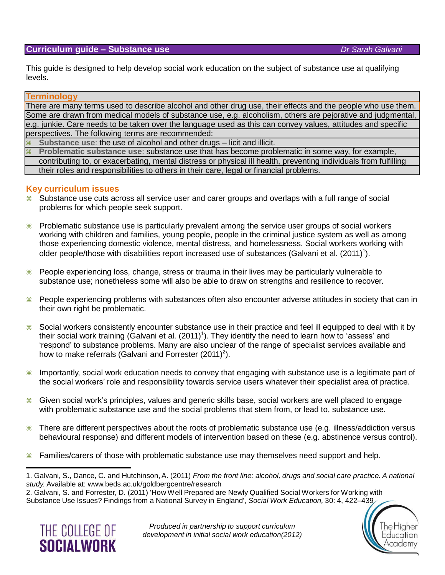#### **Curriculum guide – Substance use** *Dr Sarah Galvani*

he Higher

Education

Academy

This guide is designed to help develop social work education on the subject of substance use at qualifying levels.

#### **Terminology**

There are many terms used to describe alcohol and other drug use, their effects and the people who use them. Some are drawn from medical models of substance use, e.g. alcoholism, others are pejorative and judgmental, e.g. junkie. Care needs to be taken over the language used as this can convey values, attitudes and specific perspectives. The following terms are recommended:

**Substance use**: the use of alcohol and other drugs – licit and illicit.

 **Problematic substance use**: substance use that has become problematic in some way, for example, contributing to, or exacerbating, mental distress or physical ill health, preventing individuals from fulfilling their roles and responsibilities to others in their care, legal or financial problems.

#### **Key curriculum issues**

- <sup>38</sup> Substance use cuts across all service user and carer groups and overlaps with a full range of social problems for which people seek support.
- $\frac{12}{10}$  Problematic substance use is particularly prevalent among the service user groups of social workers working with children and families, young people, people in the criminal justice system as well as among those experiencing domestic violence, mental distress, and homelessness. Social workers working with older people/those with disabilities report increased use of substances (Galvani et al. (2011)<sup>1</sup>).
- <sup>38</sup> People experiencing loss, change, stress or trauma in their lives may be particularly vulnerable to substance use; nonetheless some will also be able to draw on strengths and resilience to recover.
- <sup>38</sup> People experiencing problems with substances often also encounter adverse attitudes in society that can in their own right be problematic.
- <sup>38</sup> Social workers consistently encounter substance use in their practice and feel ill equipped to deal with it by their social work training (Galvani et al. (2011)<sup>1</sup>). They identify the need to learn how to 'assess' and 'respond' to substance problems. Many are also unclear of the range of specialist services available and how to make referrals (Galvani and Forrester (2011)<sup>2</sup>).
- <sup>38</sup> Importantly, social work education needs to convey that engaging with substance use is a legitimate part of the social workers' role and responsibility towards service users whatever their specialist area of practice.
- Given social work's principles, values and generic skills base, social workers are well placed to engage with problematic substance use and the social problems that stem from, or lead to, substance use.
- <sup>38</sup> There are different perspectives about the roots of problematic substance use (e.g. illness/addiction versus behavioural response) and different models of intervention based on these (e.g. abstinence versus control).
- <sup>38</sup> Families/carers of those with problematic substance use may themselves need support and help.

<sup>2.</sup> Galvani, S. and Forrester, D. (2011) 'How Well Prepared are Newly Qualified Social Workers for Working with Substance Use Issues? Findings from a National Survey in England', *Social Work Education,* 30: 4, 422–439



<sup>1.</sup> Galvani, S., Dance, C. and Hutchinson, A. (2011) *From the front line: alcohol, drugs and social care practice. A national study.* Available at: [www.beds.ac.uk/goldbergcentre/research](http://www.beds.ac.uk/goldbergcentre/research)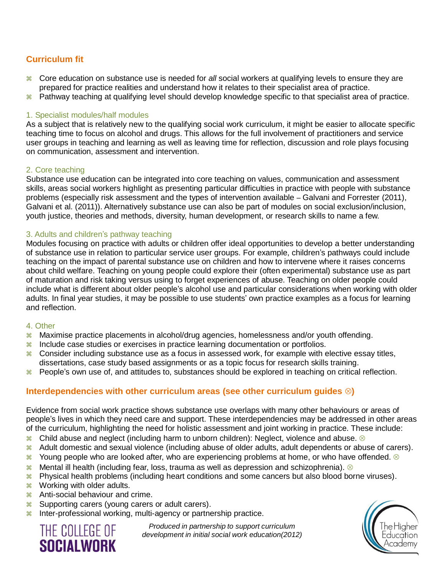# **Curriculum fit**

- Core education on substance use is needed for *all* social workers at qualifying levels to ensure they are prepared for practice realities and understand how it relates to their specialist area of practice.
- <sup>38</sup> Pathway teaching at qualifying level should develop knowledge specific to that specialist area of practice.

### 1. Specialist modules/half modules

As a subject that is relatively new to the qualifying social work curriculum, it might be easier to allocate specific teaching time to focus on alcohol and drugs. This allows for the full involvement of practitioners and service user groups in teaching and learning as well as leaving time for reflection, discussion and role plays focusing on communication, assessment and intervention.

## 2. Core teaching

Substance use education can be integrated into core teaching on values, communication and assessment skills, areas social workers highlight as presenting particular difficulties in practice with people with substance problems (especially risk assessment and the types of intervention available – Galvani and Forrester (2011), Galvani et al. (2011)). Alternatively substance use can also be part of modules on social exclusion/inclusion, youth justice, theories and methods, diversity, human development, or research skills to name a few.

### 3. Adults and children's pathway teaching

Modules focusing on practice with adults or children offer ideal opportunities to develop a better understanding of substance use in relation to particular service user groups. For example, children's pathways could include teaching on the impact of parental substance use on children and how to intervene where it raises concerns about child welfare. Teaching on young people could explore their (often experimental) substance use as part of maturation and risk taking versus using to forget experiences of abuse. Teaching on older people could include what is different about older people's alcohol use and particular considerations when working with older adults. In final year studies, it may be possible to use students' own practice examples as a focus for learning and reflection.

#### 4. Other

- **R** Maximise practice placements in alcohol/drug agencies, homelessness and/or youth offending.
- <sup>38</sup> Include case studies or exercises in practice learning documentation or portfolios.
- $\frac{12}{10}$  Consider including substance use as a focus in assessed work, for example with elective essay titles, dissertations, case study based assignments or as a topic focus for research skills training.
- **Reduce**'s own use of, and attitudes to, substances should be explored in teaching on critical reflection.

# **Interdependencies with other curriculum areas (see other curriculum guides )**

Evidence from social work practice shows substance use overlaps with many other behaviours or areas of people's lives in which they need care and support. These interdependencies may be addressed in other areas of the curriculum, highlighting the need for holistic assessment and joint working in practice. These include:

- $\frac{12}{10}$  Child abuse and neglect (including harm to unborn children): Neglect, violence and abuse.  $\otimes$
- <sup>38</sup> Adult domestic and sexual violence (including abuse of older adults, adult dependents or abuse of carers).
- $\frac{12}{10}$  Young people who are looked after, who are experiencing problems at home, or who have offended.  $\otimes$
- $\frac{12}{10}$  Mental ill health (including fear, loss, trauma as well as depression and schizophrenia).  $\otimes$
- $\frac{12}{10}$  Physical health problems (including heart conditions and some cancers but also blood borne viruses).
- $\frac{12}{100}$  Working with older adults.
- **R** Anti-social behaviour and crime.
- **8 Supporting carers (young carers or adult carers).**
- <sup>38</sup> Inter-professional working, multi-agency or partnership practice.



*Produced in partnership to support curriculum development in initial social work education(2012)*